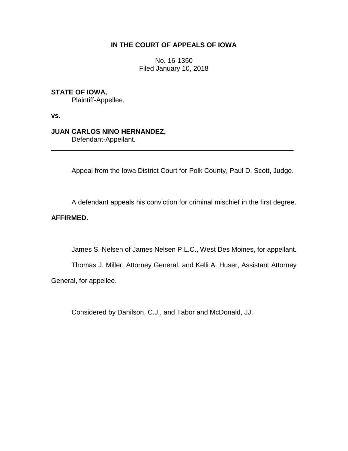# **IN THE COURT OF APPEALS OF IOWA**

No. 16-1350 Filed January 10, 2018

# **STATE OF IOWA,**

Plaintiff-Appellee,

**vs.**

## **JUAN CARLOS NINO HERNANDEZ,**

Defendant-Appellant.

Appeal from the Iowa District Court for Polk County, Paul D. Scott, Judge.

\_\_\_\_\_\_\_\_\_\_\_\_\_\_\_\_\_\_\_\_\_\_\_\_\_\_\_\_\_\_\_\_\_\_\_\_\_\_\_\_\_\_\_\_\_\_\_\_\_\_\_\_\_\_\_\_\_\_\_\_\_\_\_\_

A defendant appeals his conviction for criminal mischief in the first degree.

# **AFFIRMED.**

James S. Nelsen of James Nelsen P.L.C., West Des Moines, for appellant.

Thomas J. Miller, Attorney General, and Kelli A. Huser, Assistant Attorney General, for appellee.

Considered by Danilson, C.J., and Tabor and McDonald, JJ.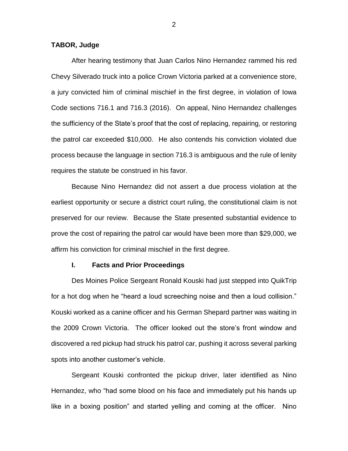### **TABOR, Judge**

After hearing testimony that Juan Carlos Nino Hernandez rammed his red Chevy Silverado truck into a police Crown Victoria parked at a convenience store, a jury convicted him of criminal mischief in the first degree, in violation of Iowa Code sections 716.1 and 716.3 (2016). On appeal, Nino Hernandez challenges the sufficiency of the State's proof that the cost of replacing, repairing, or restoring the patrol car exceeded \$10,000. He also contends his conviction violated due process because the language in section 716.3 is ambiguous and the rule of lenity requires the statute be construed in his favor.

Because Nino Hernandez did not assert a due process violation at the earliest opportunity or secure a district court ruling, the constitutional claim is not preserved for our review. Because the State presented substantial evidence to prove the cost of repairing the patrol car would have been more than \$29,000, we affirm his conviction for criminal mischief in the first degree.

#### **I. Facts and Prior Proceedings**

Des Moines Police Sergeant Ronald Kouski had just stepped into QuikTrip for a hot dog when he "heard a loud screeching noise and then a loud collision." Kouski worked as a canine officer and his German Shepard partner was waiting in the 2009 Crown Victoria. The officer looked out the store's front window and discovered a red pickup had struck his patrol car, pushing it across several parking spots into another customer's vehicle.

Sergeant Kouski confronted the pickup driver, later identified as Nino Hernandez, who "had some blood on his face and immediately put his hands up like in a boxing position" and started yelling and coming at the officer. Nino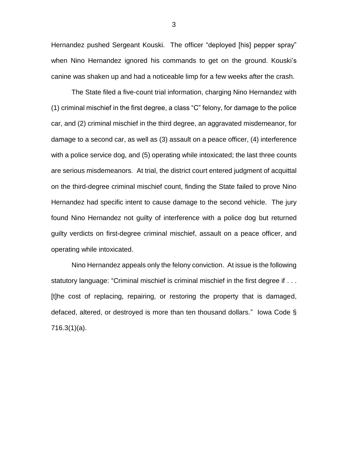Hernandez pushed Sergeant Kouski. The officer "deployed [his] pepper spray" when Nino Hernandez ignored his commands to get on the ground. Kouski's canine was shaken up and had a noticeable limp for a few weeks after the crash.

The State filed a five-count trial information, charging Nino Hernandez with (1) criminal mischief in the first degree, a class "C" felony, for damage to the police car, and (2) criminal mischief in the third degree, an aggravated misdemeanor, for damage to a second car, as well as (3) assault on a peace officer, (4) interference with a police service dog, and (5) operating while intoxicated; the last three counts are serious misdemeanors. At trial, the district court entered judgment of acquittal on the third-degree criminal mischief count, finding the State failed to prove Nino Hernandez had specific intent to cause damage to the second vehicle. The jury found Nino Hernandez not guilty of interference with a police dog but returned guilty verdicts on first-degree criminal mischief, assault on a peace officer, and operating while intoxicated.

Nino Hernandez appeals only the felony conviction. At issue is the following statutory language: "Criminal mischief is criminal mischief in the first degree if . . . [t]he cost of replacing, repairing, or restoring the property that is damaged, defaced, altered, or destroyed is more than ten thousand dollars." Iowa Code § 716.3(1)(a).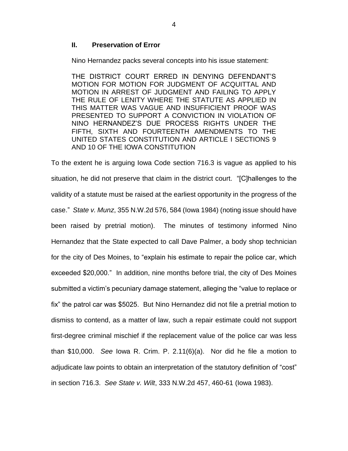### **II. Preservation of Error**

Nino Hernandez packs several concepts into his issue statement:

THE DISTRICT COURT ERRED IN DENYING DEFENDANT'S MOTION FOR MOTION FOR JUDGMENT OF ACQUITTAL AND MOTION IN ARREST OF JUDGMENT AND FAILING TO APPLY THE RULE OF LENITY WHERE THE STATUTE AS APPLIED IN THIS MATTER WAS VAGUE AND INSUFFICIENT PROOF WAS PRESENTED TO SUPPORT A CONVICTION IN VIOLATION OF NINO HERNANDEZ'S DUE PROCESS RIGHTS UNDER THE FIFTH, SIXTH AND FOURTEENTH AMENDMENTS TO THE UNITED STATES CONSTITUTION AND ARTICLE I SECTIONS 9 AND 10 OF THE IOWA CONSTITUTION

To the extent he is arguing Iowa Code section 716.3 is vague as applied to his situation, he did not preserve that claim in the district court. "[C]hallenges to the validity of a statute must be raised at the earliest opportunity in the progress of the case." *State v. Munz*, 355 N.W.2d 576, 584 (Iowa 1984) (noting issue should have been raised by pretrial motion). The minutes of testimony informed Nino Hernandez that the State expected to call Dave Palmer, a body shop technician for the city of Des Moines, to "explain his estimate to repair the police car, which exceeded \$20,000." In addition, nine months before trial, the city of Des Moines submitted a victim's pecuniary damage statement, alleging the "value to replace or fix" the patrol car was \$5025. But Nino Hernandez did not file a pretrial motion to dismiss to contend, as a matter of law, such a repair estimate could not support first-degree criminal mischief if the replacement value of the police car was less than \$10,000. *See* Iowa R. Crim. P. 2.11(6)(a). Nor did he file a motion to adjudicate law points to obtain an interpretation of the statutory definition of "cost" in section 716.3. *See State v. Wilt*, 333 N.W.2d 457, 460-61 (Iowa 1983).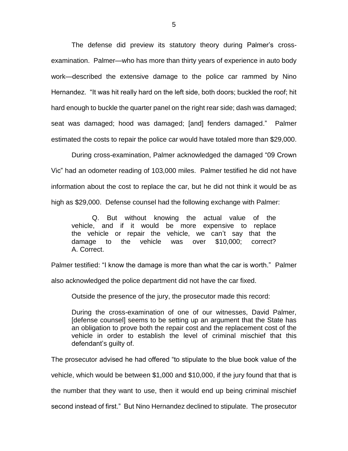The defense did preview its statutory theory during Palmer's crossexamination. Palmer—who has more than thirty years of experience in auto body work—described the extensive damage to the police car rammed by Nino Hernandez. "It was hit really hard on the left side, both doors; buckled the roof; hit hard enough to buckle the quarter panel on the right rear side; dash was damaged; seat was damaged; hood was damaged; [and] fenders damaged." Palmer estimated the costs to repair the police car would have totaled more than \$29,000.

During cross-examination, Palmer acknowledged the damaged "09 Crown Vic" had an odometer reading of 103,000 miles. Palmer testified he did not have information about the cost to replace the car, but he did not think it would be as high as \$29,000. Defense counsel had the following exchange with Palmer:

Q. But without knowing the actual value of the vehicle, and if it would be more expensive to replace the vehicle or repair the vehicle, we can't say that the damage to the vehicle was over \$10,000; correct? A. Correct.

Palmer testified: "I know the damage is more than what the car is worth." Palmer

also acknowledged the police department did not have the car fixed.

Outside the presence of the jury, the prosecutor made this record:

During the cross-examination of one of our witnesses, David Palmer, [defense counsel] seems to be setting up an argument that the State has an obligation to prove both the repair cost and the replacement cost of the vehicle in order to establish the level of criminal mischief that this defendant's guilty of.

The prosecutor advised he had offered "to stipulate to the blue book value of the

vehicle, which would be between \$1,000 and \$10,000, if the jury found that that is

the number that they want to use, then it would end up being criminal mischief

second instead of first." But Nino Hernandez declined to stipulate. The prosecutor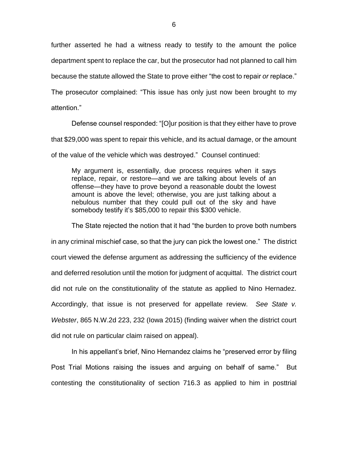further asserted he had a witness ready to testify to the amount the police department spent to replace the car, but the prosecutor had not planned to call him because the statute allowed the State to prove either "the cost to repair *or* replace."

The prosecutor complained: "This issue has only just now been brought to my attention."

Defense counsel responded: "[O]ur position is that they either have to prove that \$29,000 was spent to repair this vehicle, and its actual damage, or the amount of the value of the vehicle which was destroyed." Counsel continued:

My argument is, essentially, due process requires when it says replace, repair, or restore—and we are talking about levels of an offense—they have to prove beyond a reasonable doubt the lowest amount is above the level; otherwise, you are just talking about a nebulous number that they could pull out of the sky and have somebody testify it's \$85,000 to repair this \$300 vehicle.

The State rejected the notion that it had "the burden to prove both numbers in any criminal mischief case, so that the jury can pick the lowest one." The district court viewed the defense argument as addressing the sufficiency of the evidence and deferred resolution until the motion for judgment of acquittal. The district court did not rule on the constitutionality of the statute as applied to Nino Hernadez. Accordingly, that issue is not preserved for appellate review. *See State v. Webster*, 865 N.W.2d 223, 232 (Iowa 2015) (finding waiver when the district court did not rule on particular claim raised on appeal).

In his appellant's brief, Nino Hernandez claims he "preserved error by filing Post Trial Motions raising the issues and arguing on behalf of same." But contesting the constitutionality of section 716.3 as applied to him in posttrial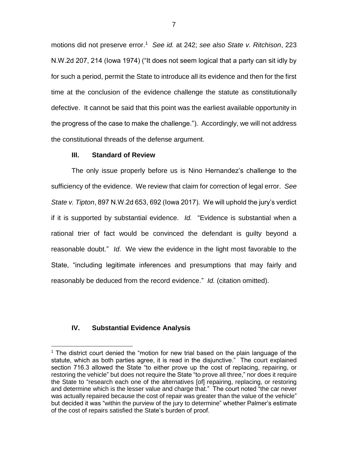motions did not preserve error.<sup>1</sup> *See id.* at 242; *see also State v. Ritchison*, 223 N.W.2d 207, 214 (Iowa 1974) ("It does not seem logical that a party can sit idly by for such a period, permit the State to introduce all its evidence and then for the first time at the conclusion of the evidence challenge the statute as constitutionally defective. It cannot be said that this point was the earliest available opportunity in the progress of the case to make the challenge."). Accordingly, we will not address the constitutional threads of the defense argument.

### **III. Standard of Review**

The only issue properly before us is Nino Hernandez's challenge to the sufficiency of the evidence. We review that claim for correction of legal error. *See State v. Tipton*, 897 N.W.2d 653, 692 (Iowa 2017). We will uphold the jury's verdict if it is supported by substantial evidence. *Id.* "Evidence is substantial when a rational trier of fact would be convinced the defendant is guilty beyond a reasonable doubt." *Id*. We view the evidence in the light most favorable to the State, "including legitimate inferences and presumptions that may fairly and reasonably be deduced from the record evidence." *Id.* (citation omitted).

## **IV. Substantial Evidence Analysis**

 $\overline{a}$ 

 $1$  The district court denied the "motion for new trial based on the plain language of the statute, which as both parties agree, it is read in the disjunctive." The court explained section 716.3 allowed the State "to either prove up the cost of replacing, repairing, or restoring the vehicle" but does not require the State "to prove all three," nor does it require the State to "research each one of the alternatives [of] repairing, replacing, or restoring and determine which is the lesser value and charge that." The court noted "the car never was actually repaired because the cost of repair was greater than the value of the vehicle" but decided it was "within the purview of the jury to determine" whether Palmer's estimate of the cost of repairs satisfied the State's burden of proof.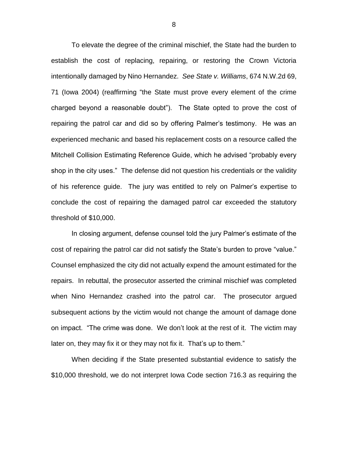To elevate the degree of the criminal mischief, the State had the burden to establish the cost of replacing, repairing, or restoring the Crown Victoria intentionally damaged by Nino Hernandez. *See State v. Williams*, 674 N.W.2d 69, 71 (Iowa 2004) (reaffirming "the State must prove every element of the crime charged beyond a reasonable doubt"). The State opted to prove the cost of repairing the patrol car and did so by offering Palmer's testimony. He was an experienced mechanic and based his replacement costs on a resource called the Mitchell Collision Estimating Reference Guide, which he advised "probably every shop in the city uses." The defense did not question his credentials or the validity of his reference guide. The jury was entitled to rely on Palmer's expertise to conclude the cost of repairing the damaged patrol car exceeded the statutory threshold of \$10,000.

In closing argument, defense counsel told the jury Palmer's estimate of the cost of repairing the patrol car did not satisfy the State's burden to prove "value." Counsel emphasized the city did not actually expend the amount estimated for the repairs. In rebuttal, the prosecutor asserted the criminal mischief was completed when Nino Hernandez crashed into the patrol car. The prosecutor argued subsequent actions by the victim would not change the amount of damage done on impact. "The crime was done. We don't look at the rest of it. The victim may later on, they may fix it or they may not fix it. That's up to them."

When deciding if the State presented substantial evidence to satisfy the \$10,000 threshold, we do not interpret Iowa Code section 716.3 as requiring the

8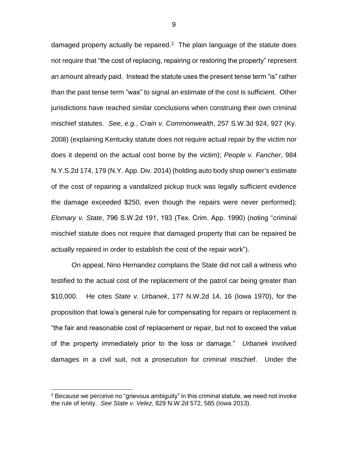damaged property actually be repaired.<sup>2</sup> The plain language of the statute does not require that "the cost of replacing, repairing or restoring the property" represent an amount already paid. Instead the statute uses the present tense term "is" rather than the past tense term "was" to signal an estimate of the cost is sufficient. Other jurisdictions have reached similar conclusions when construing their own criminal mischief statutes. *See, e.g.*, *Crain v. Commonwealth*, 257 S.W.3d 924, 927 (Ky. 2008) (explaining Kentucky statute does not require actual repair by the victim nor does it depend on the actual cost borne by the victim); *People v. Fancher*, 984 N.Y.S.2d 174, 179 (N.Y. App. Div. 2014) (holding auto body shop owner's estimate of the cost of repairing a vandalized pickup truck was legally sufficient evidence the damage exceeded \$250, even though the repairs were never performed); *Elomary v. State*, 796 S.W.2d 191, 193 (Tex. Crim. App. 1990) (noting "criminal mischief statute does not require that damaged property that can be repaired be actually repaired in order to establish the cost of the repair work").

On appeal, Nino Hernandez complains the State did not call a witness who testified to the actual cost of the replacement of the patrol car being greater than \$10,000. He cites *State v. Urbanek*, 177 N.W.2d 14, 16 (Iowa 1970), for the proposition that Iowa's general rule for compensating for repairs or replacement is "the fair and reasonable cost of replacement or repair, but not to exceed the value of the property immediately prior to the loss or damage." *Urbanek* involved damages in a civil suit, not a prosecution for criminal mischief. Under the

 $\overline{a}$ 

 $2$  Because we perceive no "grievous ambiguity" in this criminal statute, we need not invoke the rule of lenity. *See State v. Velez*, 829 N.W.2d 572, 585 (Iowa 2013).